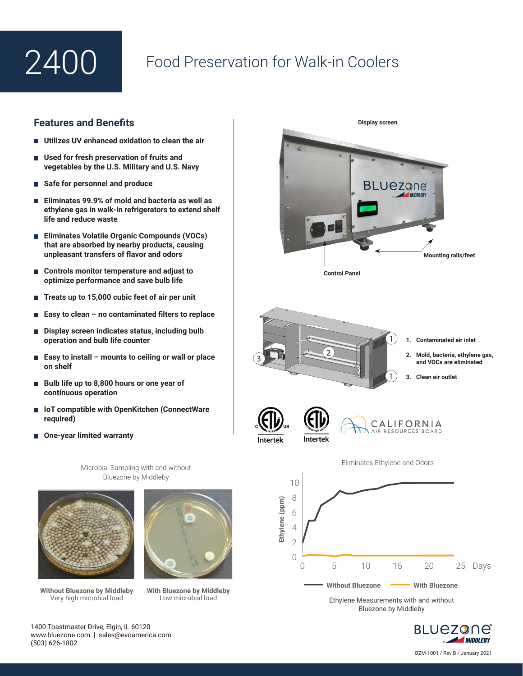

## Food Preservation for Walk-in Coolers

## **Features and Benefits**

- **Utilizes UV enhanced oxidation to clean the air**
- Used for fresh preservation of fruits and **vegetables by the U.S. Military and U.S. Navy**
- **Safe for personnel and produce**
- **Eliminates 99.9% of mold and bacteria as well as ethylene gas in walk-in refrigerators to extend shelf life and reduce waste**
- **Eliminates Volatile Organic Compounds (VOCs) that are absorbed by nearby products, causing unpleasant transfers of flavor and odors**
- Controls monitor temperature and adjust to **optimize performance and save bulb life**
- Treats up to 15,000 cubic feet of air per unit
- **Easy to clean no contaminated filters to replace**
- **Display screen indicates status, including bulb operation and bulb life counter**
- **Easy to install mounts to ceiling or wall or place on shelf**
- **Bulb life up to 8,800 hours or one year of continuous operation**
- **IoT compatible with OpenKitchen (ConnectWare required)**
- **One-year limited warranty**

Microbial Sampling with and without Bluezone by Middleby



**Without Bluezone by Middleby**  Very high microbial load



**With Bluezone by Middleby** Low microbial load





1400 Toastmaster Drive, Elgin, IL 60120 www.bluezone.com | sales@evoamerica.com (503) 626-1802

BZM-1001 / Rev B / January 2021